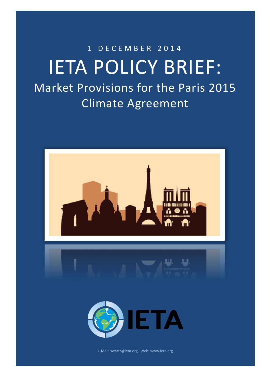# 1 D E C E M B E R 2 0 1 4 IETA POLICY BRIEF: Market Provisions for the Paris 2015 Climate Agreement

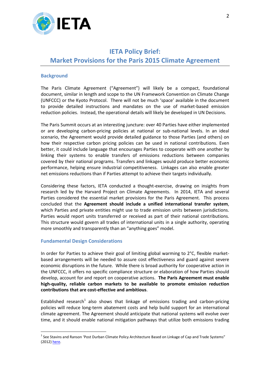

# **IETA Policy Brief: Market Provisions for the Paris 2015 Climate Agreement**

#### **Background**

The Paris Climate Agreement ("Agreement") will likely be a compact, foundational document, similar in length and scope to the UN Framework Convention on Climate Change (UNFCCC) or the Kyoto Protocol. There will not be much 'space' available in the document to provide detailed instructions and mandates on the use of market-based emission reduction policies. Instead, the operational details will likely be developed in UN Decisions.

The Paris Summit occurs at an interesting juncture: over 40 Parties have either implemented or are developing carbon-pricing policies at national or sub-national levels. In an ideal scenario, the Agreement would provide detailed guidance to those Parties (and others) on how their respective carbon pricing policies can be used in national contributions. Even better, it could include language that encourages Parties to cooperate with one another by linking their systems to enable transfers of emissions reductions between companies covered by their national programs. Transfers and linkages would produce better economic performance, helping ensure industrial competitiveness. Linkages can also enable greater net emissions reductions than if Parties attempt to achieve their targets individually.

Considering these factors, IETA conducted a thought-exercise, drawing on insights from research led by the Harvard Project on Climate Agreements. In 2014, IETA and several Parties considered the essential market provisions for the Paris Agreement. This process concluded that the **Agreement should include a unified international transfer system**, which Parties and private entities might use to trade emission units between jurisdictions. Parties would report units transferred or received as part of their national contributions. This structure would govern all trades of international units in a single authority, operating more smoothly and transparently than an "anything goes" model.

#### **Fundamental Design Considerations**

1

In order for Parties to achieve their goal of limiting global warming to 2°C, flexible marketbased arrangements will be needed to assure cost effectiveness and guard against severe economic disruptions in the future. While there is broad authority for cooperative action in the UNFCCC, it offers no specific compliance structure or elaboration of how Parties should develop, account for and report on cooperative actions. **The Paris Agreement must enable high-quality, reliable carbon markets to be available to promote emission reduction contributions that are cost-effective and ambitious**.

Established research<sup>1</sup> also shows that linkage of emissions trading and carbon-pricing policies will reduce long-term abatement costs and help build support for an international climate agreement. The Agreement should anticipate that national systems will evolve over time, and it should enable national mitigation pathways that utilize both emissions trading

 $<sup>1</sup>$  See Stavins and Ranson 'Post Durban Climate Policy Architecture Based on Linkage of Cap and Trade Systems"</sup> (2012[\) here.](http://www.hks.harvard.edu/fs/rstavins/Papers/Ranson%20&%20Stavins%20Linkage%20Paper%20for%20Chicago%20Journal%20of%20International%20Law.pdf)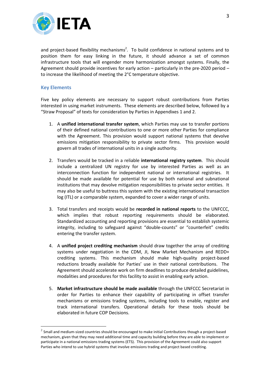

and project-based flexibility mechanisms<sup>2</sup>. To build confidence in national systems and to position them for easy linking in the future, it should advance a set of common infrastructure tools that will engender more harmonization amongst systems. Finally, the Agreement should provide incentives for early action – particularly in the pre-2020 period – to increase the likelihood of meeting the 2°C temperature objective.

#### **Key Elements**

1

Five key policy elements are necessary to support robust contributions from Parties interested in using market instruments. These elements are described below, followed by a "Straw Proposal" of texts for consideration by Parties in Appendixes 1 and 2.

- 1. A **unified international transfer system**, which Parties may use to transfer portions of their defined national contributions to one or more other Parties for compliance with the Agreement. This provision would support national systems that devolve emissions mitigation responsibility to private sector firms. This provision would govern all trades of international units in a single authority.
- 2. Transfers would be tracked in a reliable **international registry system**. This should include a centralized UN registry for use by interested Parties as well as an interconnection function for independent national or international registries. It should be made available for potential for use by both national and subnational institutions that may devolve mitigation responsibilities to private sector entities. It may also be useful to buttress this system with the existing international transaction log (ITL) or a comparable system, expanded to cover a wider range of units.
- 3. Total transfers and receipts would be **recorded in national reports** to the UNFCCC, which implies that robust reporting requirements should be elaborated. Standardized accounting and reporting provisions are essential to establish systemic integrity, including to safeguard against "double-counts" or "counterfeit" credits entering the transfer system.
- 4. A **unified project crediting mechanism** should draw together the array of crediting systems under negotiation in the CDM, JI, New Market Mechanism and REDD+ crediting systems. This mechanism should make high-quality project-based reductions broadly available for Parties' use in their national contributions. The Agreement should accelerate work on firm deadlines to produce detailed guidelines, modalities and procedures for this facility to assist in enabling early action.
- 5. **Market infrastructure should be made available** through the UNFCCC Secretariat in order for Parties to enhance their capability of participating in offset transfer mechanisms or emissions trading systems, including tools to enable, register and track international transfers. Operational details for these tools should be elaborated in future COP Decisions.

 $^{2}$  Small and medium-sized countries should be encouraged to make initial Contributions though a project-based mechanism, given that they may need additional time and capacity building before they are able to implement or participate in a national emissions trading systems (ETS). This provision of the Agreement could also support Parties who intend to use hybrid systems that involve emissions trading and project based crediting.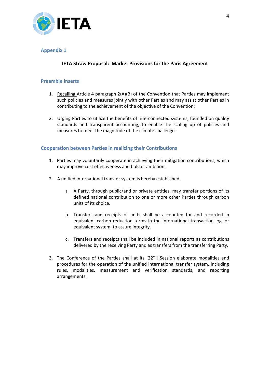

#### **Appendix 1**

# **IETA Straw Proposal: Market Provisions for the Paris Agreement**

#### **Preamble inserts**

- 1. Recalling Article 4 paragraph 2(A)(B) of the Convention that Parties may implement such policies and measures jointly with other Parties and may assist other Parties in contributing to the achievement of the objective of the Convention;
- 2. Urging Parties to utilize the benefits of interconnected systems, founded on quality standards and transparent accounting, to enable the scaling up of policies and measures to meet the magnitude of the climate challenge.

#### **Cooperation between Parties in realizing their Contributions**

- 1. Parties may voluntarily cooperate in achieving their mitigation contributions, which may improve cost effectiveness and bolster ambition.
- 2. A unified international transfer system is hereby established.
	- a. A Party, through public/and or private entities, may transfer portions of its defined national contribution to one or more other Parties through carbon units of its choice.
	- b. Transfers and receipts of units shall be accounted for and recorded in equivalent carbon reduction terms in the international transaction log, or equivalent system, to assure integrity.
	- c. Transfers and receipts shall be included in national reports as contributions delivered by the receiving Party and as transfers from the transferring Party.
- 3. The Conference of the Parties shall at its  $[22^{nd}]$  Session elaborate modalities and procedures for the operation of the unified international transfer system, including rules, modalities, measurement and verification standards, and reporting arrangements.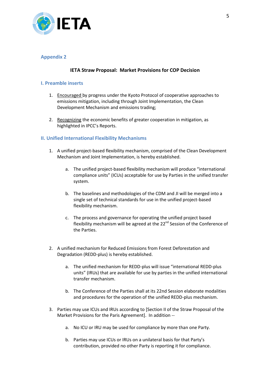

# **Appendix 2**

# **IETA Straw Proposal: Market Provisions for COP Decision**

# **I. Preamble inserts**

- 1. Encouraged by progress under the Kyoto Protocol of cooperative approaches to emissions mitigation, including through Joint Implementation, the Clean Development Mechanism and emissions trading;
- 2. Recognizing the economic benefits of greater cooperation in mitigation, as highlighted in IPCC's Reports.

#### **II. Unified International Flexibility Mechanisms**

- 1. A unified project-based flexibility mechanism, comprised of the Clean Development Mechanism and Joint Implementation, is hereby established.
	- a. The unified project-based flexibility mechanism will produce "international compliance units" (ICUs) acceptable for use by Parties in the unified transfer system.
	- b. The baselines and methodologies of the CDM and JI will be merged into a single set of technical standards for use in the unified project-based flexibility mechanism.
	- c. The process and governance for operating the unified project based flexibility mechanism will be agreed at the  $22<sup>nd</sup>$  Session of the Conference of the Parties.
- 2. A unified mechanism for Reduced Emissions from Forest Deforestation and Degradation (REDD-plus) is hereby established.
	- a. The unified mechanism for REDD-plus will issue "international REDD-plus units" (IRUs) that are available for use by parties in the unified international transfer mechanism.
	- b. The Conference of the Parties shall at its 22nd Session elaborate modalities and procedures for the operation of the unified REDD-plus mechanism.
- 3. Parties may use ICUs and IRUs according to [Section II of the Straw Proposal of the Market Provisions for the Paris Agreement]. In addition -
	- a. No ICU or IRU may be used for compliance by more than one Party.
	- b. Parties may use ICUs or IRUs on a unilateral basis for that Party's contribution, provided no other Party is reporting it for compliance.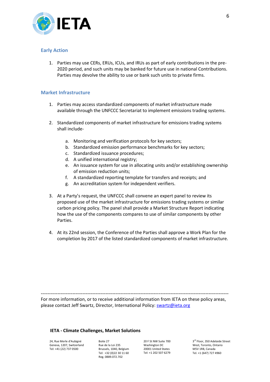

#### **Early Action**

1. Parties may use CERs, ERUs, ICUs, and IRUs as part of early contributions in the pre-2020 period, and such units may be banked for future use in national Contributions. Parties may devolve the ability to use or bank such units to private firms.

#### **Market Infrastructure**

- 1. Parties may access standardized components of market infrastructure made available through the UNFCCC Secretariat to implement emissions trading systems.
- 2. Standardized components of market infrastructure for emissions trading systems shall include
	- a. Monitoring and verification protocols for key sectors;
	- b. Standardized emission performance benchmarks for key sectors;
	- c. Standardized issuance procedures;
	- d. A unified international registry;
	- e. An issuance system for use in allocating units and/or establishing ownership of emission reduction units;
	- f. A standardized reporting template for transfers and receipts; and
	- g. An accreditation system for independent verifiers.
- 3. At a Party's request, the UNFCCC shall convene an expert panel to review its proposed use of the market infrastructure for emissions trading systems or similar carbon pricing policy. The panel shall provide a Market Structure Report indicating how the use of the components compares to use of similar components by other Parties.
- 4. At its 22nd session, the Conference of the Parties shall approve a Work Plan for the completion by 2017 of the listed standardized components of market infrastructure.

----------------------------------------------------------------------------------------------------------------- For more information, or to receive additional information from IETA on these policy areas, please contact Jeff Swartz, Director, International Policy: [swartz@ieta.org](mailto:swartz@ieta.org)

#### **IETA - Climate Challenges, Market Solutions**

24, Rue Merle d'Aubigné Geneva, 1207, Switzerland Tel: +41 (22) 737 0500

Boite 27 Rue de la Loi 235 Brussels, 1040, Belgium Tel: +32 (0)22 30 11 60 Reg. 0889.072.702

20 F St NW Suite 700 Washington DC 20001 United States Tel: +1 202 507 6279

3 rd Floor, 350 Adelaide Street West, Toronto, Ontario M5V 1R8, Canada Tel. +1 (647) 727 4960